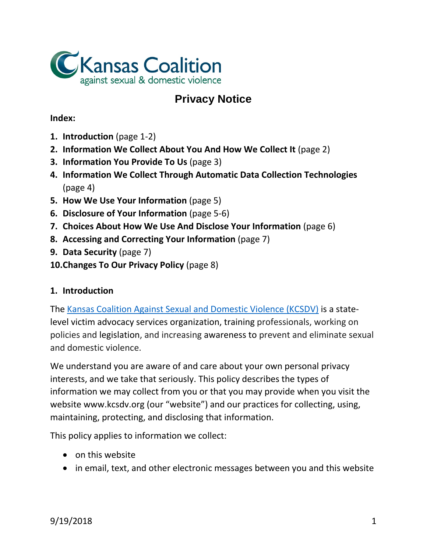

# **Privacy Notice**

## **Index:**

- **1. Introduction** (page 1-2)
- **2. Information We Collect About You And How We Collect It** (page 2)
- **3. Information You Provide To Us** (page 3)
- **4. Information We Collect Through Automatic Data Collection Technologies** (page 4)
- **5. How We Use Your Information** (page 5)
- **6. Disclosure of Your Information** (page 5-6)
- **7. Choices About How We Use And Disclose Your Information** (page 6)
- **8. Accessing and Correcting Your Information** (page 7)
- **9. Data Security** (page 7)
- **10.Changes To Our Privacy Policy** (page 8)

# **1. Introduction**

The [Kansas Coalition Against Sexual and Domestic Violence \(KCSDV\)](http://kcsdv.org/) is a statelevel victim advocacy services organization, training professionals, working on policies and legislation, and increasing awareness to prevent and eliminate sexual and domestic violence.

We understand you are aware of and care about your own personal privacy interests, and we take that seriously. This policy describes the types of information we may collect from you or that you may provide when you visit the website www.kcsdv.org (our "website") and our practices for collecting, using, maintaining, protecting, and disclosing that information.

This policy applies to information we collect:

- on this website
- in email, text, and other electronic messages between you and this website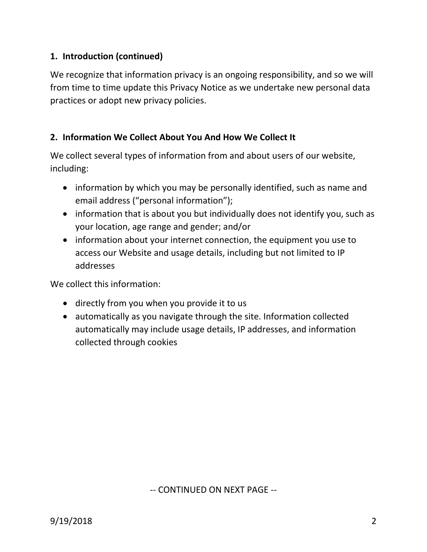# **1. Introduction (continued)**

We recognize that information privacy is an ongoing responsibility, and so we will from time to time update this Privacy Notice as we undertake new personal data practices or adopt new privacy policies.

## **2. Information We Collect About You And How We Collect It**

We collect several types of information from and about users of our website, including:

- information by which you may be personally identified, such as name and email address ("personal information");
- information that is about you but individually does not identify you, such as your location, age range and gender; and/or
- information about your internet connection, the equipment you use to access our Website and usage details, including but not limited to IP addresses

We collect this information:

- directly from you when you provide it to us
- automatically as you navigate through the site. Information collected automatically may include usage details, IP addresses, and information collected through cookies

-- CONTINUED ON NEXT PAGE --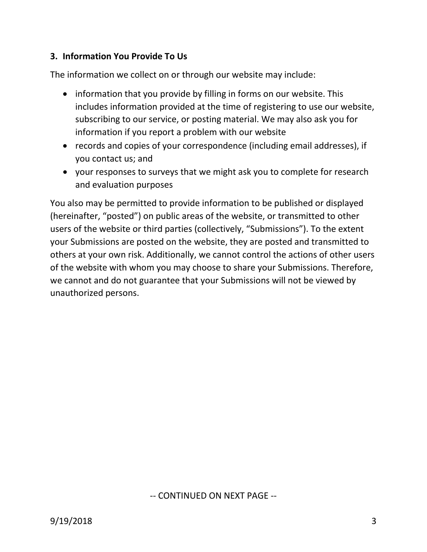# **3. Information You Provide To Us**

The information we collect on or through our website may include:

- information that you provide by filling in forms on our website. This includes information provided at the time of registering to use our website, subscribing to our service, or posting material. We may also ask you for information if you report a problem with our website
- records and copies of your correspondence (including email addresses), if you contact us; and
- your responses to surveys that we might ask you to complete for research and evaluation purposes

You also may be permitted to provide information to be published or displayed (hereinafter, "posted") on public areas of the website, or transmitted to other users of the website or third parties (collectively, "Submissions"). To the extent your Submissions are posted on the website, they are posted and transmitted to others at your own risk. Additionally, we cannot control the actions of other users of the website with whom you may choose to share your Submissions. Therefore, we cannot and do not guarantee that your Submissions will not be viewed by unauthorized persons.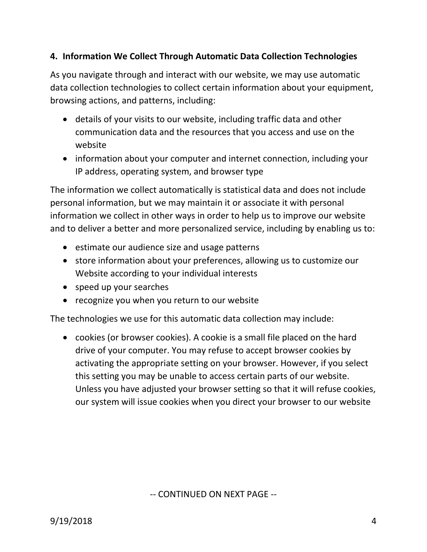# **4. Information We Collect Through Automatic Data Collection Technologies**

As you navigate through and interact with our website, we may use automatic data collection technologies to collect certain information about your equipment, browsing actions, and patterns, including:

- details of your visits to our website, including traffic data and other communication data and the resources that you access and use on the website
- information about your computer and internet connection, including your IP address, operating system, and browser type

The information we collect automatically is statistical data and does not include personal information, but we may maintain it or associate it with personal information we collect in other ways in order to help us to improve our website and to deliver a better and more personalized service, including by enabling us to:

- estimate our audience size and usage patterns
- store information about your preferences, allowing us to customize our Website according to your individual interests
- speed up your searches
- recognize you when you return to our website

The technologies we use for this automatic data collection may include:

• cookies (or browser cookies). A cookie is a small file placed on the hard drive of your computer. You may refuse to accept browser cookies by activating the appropriate setting on your browser. However, if you select this setting you may be unable to access certain parts of our website. Unless you have adjusted your browser setting so that it will refuse cookies, our system will issue cookies when you direct your browser to our website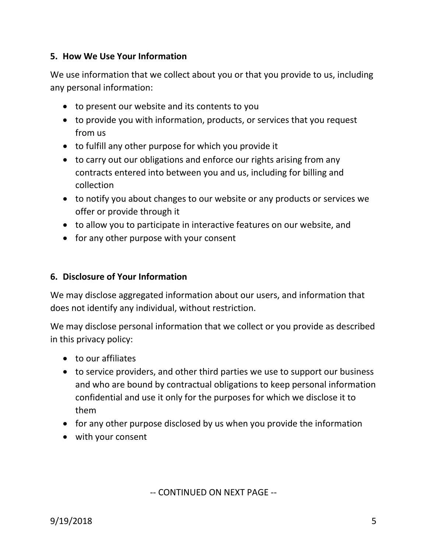## **5. How We Use Your Information**

We use information that we collect about you or that you provide to us, including any personal information:

- to present our website and its contents to you
- to provide you with information, products, or services that you request from us
- to fulfill any other purpose for which you provide it
- to carry out our obligations and enforce our rights arising from any contracts entered into between you and us, including for billing and collection
- to notify you about changes to our website or any products or services we offer or provide through it
- to allow you to participate in interactive features on our website, and
- for any other purpose with your consent

#### **6. Disclosure of Your Information**

We may disclose aggregated information about our users, and information that does not identify any individual, without restriction.

We may disclose personal information that we collect or you provide as described in this privacy policy:

- to our affiliates
- to service providers, and other third parties we use to support our business and who are bound by contractual obligations to keep personal information confidential and use it only for the purposes for which we disclose it to them
- for any other purpose disclosed by us when you provide the information
- with your consent

-- CONTINUED ON NEXT PAGE --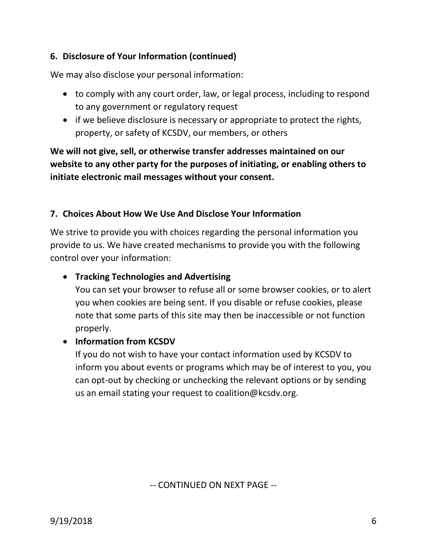# **6. Disclosure of Your Information (continued)**

We may also disclose your personal information:

- to comply with any court order, law, or legal process, including to respond to any government or regulatory request
- if we believe disclosure is necessary or appropriate to protect the rights, property, or safety of KCSDV, our members, or others

**We will not give, sell, or otherwise transfer addresses maintained on our website to any other party for the purposes of initiating, or enabling others to initiate electronic mail messages without your consent.**

## **7. Choices About How We Use And Disclose Your Information**

We strive to provide you with choices regarding the personal information you provide to us. We have created mechanisms to provide you with the following control over your information:

#### • **Tracking Technologies and Advertising**

You can set your browser to refuse all or some browser cookies, or to alert you when cookies are being sent. If you disable or refuse cookies, please note that some parts of this site may then be inaccessible or not function properly.

#### • **Information from KCSDV**

If you do not wish to have your contact information used by KCSDV to inform you about events or programs which may be of interest to you, you can opt-out by checking or unchecking the relevant options or by sending us an email stating your request to coalition@kcsdv.org.

-- CONTINUED ON NEXT PAGE --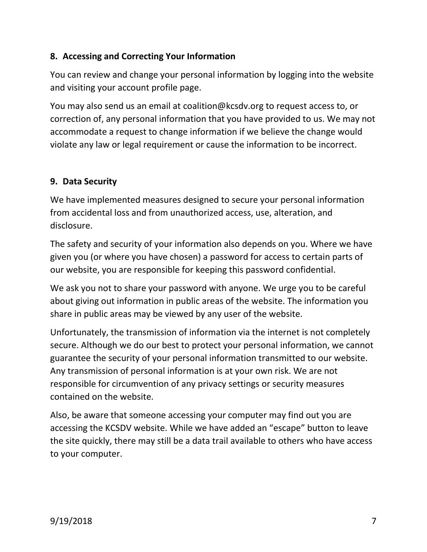# **8. Accessing and Correcting Your Information**

You can review and change your personal information by logging into the website and visiting your account profile page.

You may also send us an email at coalition@kcsdv.org to request access to, or correction of, any personal information that you have provided to us. We may not accommodate a request to change information if we believe the change would violate any law or legal requirement or cause the information to be incorrect.

# **9. Data Security**

We have implemented measures designed to secure your personal information from accidental loss and from unauthorized access, use, alteration, and disclosure.

The safety and security of your information also depends on you. Where we have given you (or where you have chosen) a password for access to certain parts of our website, you are responsible for keeping this password confidential.

We ask you not to share your password with anyone. We urge you to be careful about giving out information in public areas of the website. The information you share in public areas may be viewed by any user of the website.

Unfortunately, the transmission of information via the internet is not completely secure. Although we do our best to protect your personal information, we cannot guarantee the security of your personal information transmitted to our website. Any transmission of personal information is at your own risk. We are not responsible for circumvention of any privacy settings or security measures contained on the website.

Also, be aware that someone accessing your computer may find out you are accessing the KCSDV website. While we have added an "escape" button to leave the site quickly, there may still be a data trail available to others who have access to your computer.